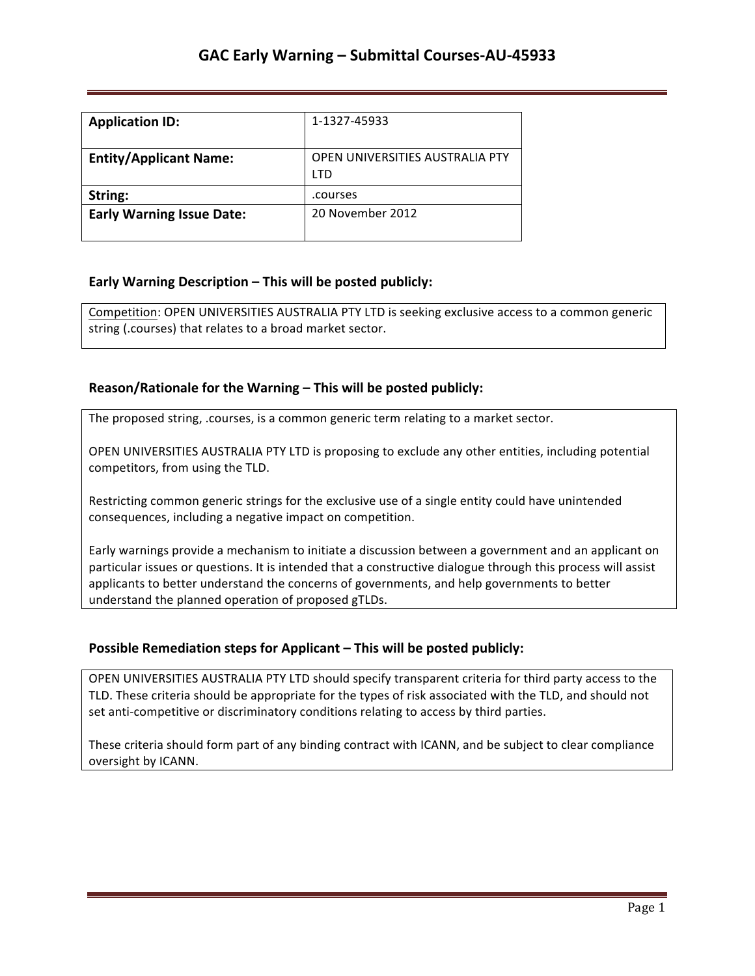| <b>Application ID:</b>           | 1-1327-45933                           |
|----------------------------------|----------------------------------------|
| <b>Entity/Applicant Name:</b>    | OPEN UNIVERSITIES AUSTRALIA PTY<br>LTD |
| String:                          | .courses                               |
| <b>Early Warning Issue Date:</b> | 20 November 2012                       |

## **Early Warning Description – This will be posted publicly:**

Competition: OPEN UNIVERSITIES AUSTRALIA PTY LTD is seeking exclusive access to a common generic string (.courses) that relates to a broad market sector.

### **Reason/Rationale for the Warning – This will be posted publicly:**

The proposed string, .courses, is a common generic term relating to a market sector.

OPEN UNIVERSITIES AUSTRALIA PTY LTD is proposing to exclude any other entities, including potential competitors, from using the TLD.

Restricting common generic strings for the exclusive use of a single entity could have unintended consequences, including a negative impact on competition.

Early warnings provide a mechanism to initiate a discussion between a government and an applicant on particular issues or questions. It is intended that a constructive dialogue through this process will assist applicants to better understand the concerns of governments, and help governments to better understand the planned operation of proposed gTLDs.

### **Possible Remediation steps for Applicant – This will be posted publicly:**

OPEN UNIVERSITIES AUSTRALIA PTY LTD should specify transparent criteria for third party access to the TLD. These criteria should be appropriate for the types of risk associated with the TLD, and should not set anti-competitive or discriminatory conditions relating to access by third parties.

These criteria should form part of any binding contract with ICANN, and be subject to clear compliance oversight by ICANN.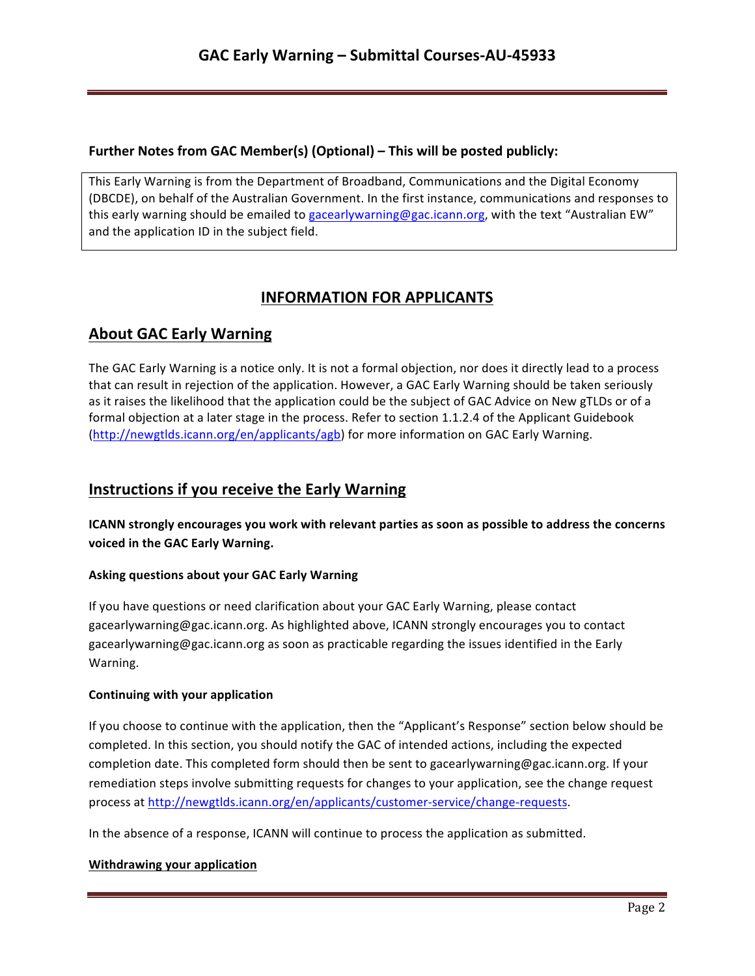## **Further Notes from GAC Member(s) (Optional) – This will be posted publicly:**

This Early Warning is from the Department of Broadband, Communications and the Digital Economy (DBCDE), on behalf of the Australian Government. In the first instance, communications and responses to this early warning should be emailed to gacearlywarning@gac.icann.org, with the text "Australian EW" and the application ID in the subject field.

# **INFORMATION FOR APPLICANTS**

# **About GAC Early Warning**

The GAC Early Warning is a notice only. It is not a formal objection, nor does it directly lead to a process that can result in rejection of the application. However, a GAC Early Warning should be taken seriously as it raises the likelihood that the application could be the subject of GAC Advice on New gTLDs or of a formal objection at a later stage in the process. Refer to section 1.1.2.4 of the Applicant Guidebook (http://newgtlds.icann.org/en/applicants/agb) for more information on GAC Early Warning.

## **Instructions if you receive the Early Warning**

**ICANN** strongly encourages you work with relevant parties as soon as possible to address the concerns voiced in the GAC Early Warning.

### **Asking questions about your GAC Early Warning**

If you have questions or need clarification about your GAC Early Warning, please contact gacearlywarning@gac.icann.org. As highlighted above, ICANN strongly encourages you to contact gacearlywarning@gac.icann.org as soon as practicable regarding the issues identified in the Early Warning. 

### **Continuing with your application**

If you choose to continue with the application, then the "Applicant's Response" section below should be completed. In this section, you should notify the GAC of intended actions, including the expected completion date. This completed form should then be sent to gacearlywarning@gac.icann.org. If your remediation steps involve submitting requests for changes to your application, see the change request process at http://newgtlds.icann.org/en/applicants/customer-service/change-requests.

In the absence of a response, ICANN will continue to process the application as submitted.

### **Withdrawing your application**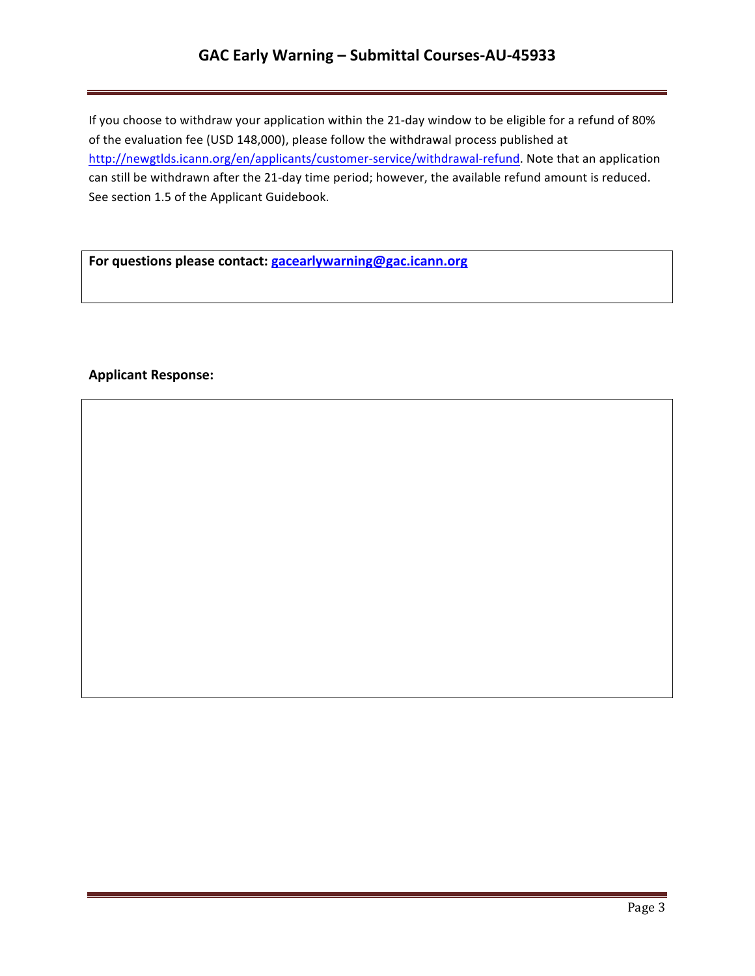# **GAC Early Warning – Submittal Courses-AU-45933**

If you choose to withdraw your application within the 21-day window to be eligible for a refund of 80% of the evaluation fee (USD 148,000), please follow the withdrawal process published at http://newgtlds.icann.org/en/applicants/customer-service/withdrawal-refund. Note that an application can still be withdrawn after the 21-day time period; however, the available refund amount is reduced. See section 1.5 of the Applicant Guidebook.

For questions please contact: **gacearlywarning@gac.icann.org** 

## **Applicant Response:**